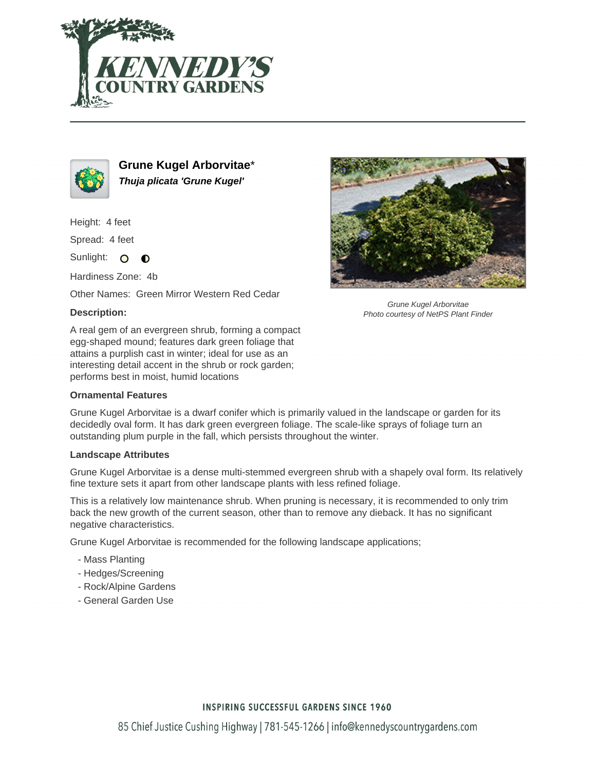



**Grune Kugel Arborvitae**\* **Thuja plicata 'Grune Kugel'**

Height: 4 feet

Spread: 4 feet

Sunlight: O  $\bullet$ 

Hardiness Zone: 4b

Other Names: Green Mirror Western Red Cedar

### **Description:**

A real gem of an evergreen shrub, forming a compact egg-shaped mound; features dark green foliage that attains a purplish cast in winter; ideal for use as an interesting detail accent in the shrub or rock garden; performs best in moist, humid locations

### **Ornamental Features**

Grune Kugel Arborvitae is a dwarf conifer which is primarily valued in the landscape or garden for its decidedly oval form. It has dark green evergreen foliage. The scale-like sprays of foliage turn an outstanding plum purple in the fall, which persists throughout the winter.

#### **Landscape Attributes**

Grune Kugel Arborvitae is a dense multi-stemmed evergreen shrub with a shapely oval form. Its relatively fine texture sets it apart from other landscape plants with less refined foliage.

This is a relatively low maintenance shrub. When pruning is necessary, it is recommended to only trim back the new growth of the current season, other than to remove any dieback. It has no significant negative characteristics.

Grune Kugel Arborvitae is recommended for the following landscape applications;

- Mass Planting
- Hedges/Screening
- Rock/Alpine Gardens
- General Garden Use



Grune Kugel Arborvitae Photo courtesy of NetPS Plant Finder

## **INSPIRING SUCCESSFUL GARDENS SINCE 1960**